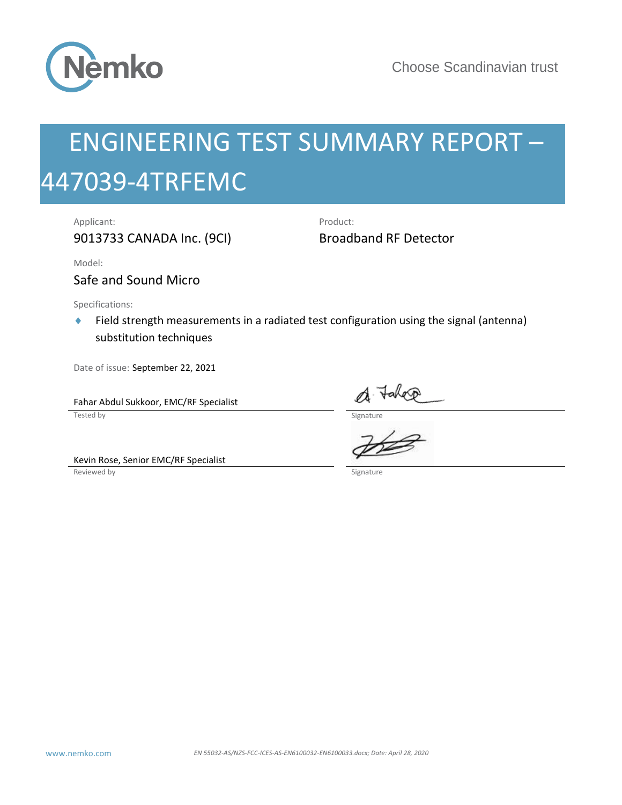

# **EN 56032-4TRFEMC**<br>
EN 561 NEERING TEST SUMMARY REPORT —<br>
A7039-4TRFEMC<br>
Apricant:<br>
Apricant:<br>
April 28, 2020<br>
Natation and Microsom<br>
Start Actual Several transition transition and Microsofter and Date of the Second Actual ENGINEERING TEST SUMMARY REPORT – 447039-4TRFEMC

Applicant: Product:

9013733 CANADA Inc. (9CI) Broadband RF Detector

Model:

Safe and Sound Micro

Specifications:

◆ Field strength measurements in a radiated test configuration using the signal (antenna) substitution techniques

Date of issue: September 22, 2021

Fahar Abdul Sukkoor, EMC/RF Specialist<br>Tested by

Kevin Rose, Senior EMC/RF Specialist

 $\Gamma$  Tested by Signature by Signature by Signature by Signature by Signature  $\Gamma$ 

Reviewed by Signature and Signature and Signature and Signature and Signature and Signature and Signature and Signature and Signature and Signature and Signature and Signature and Signature and Signature and Signature and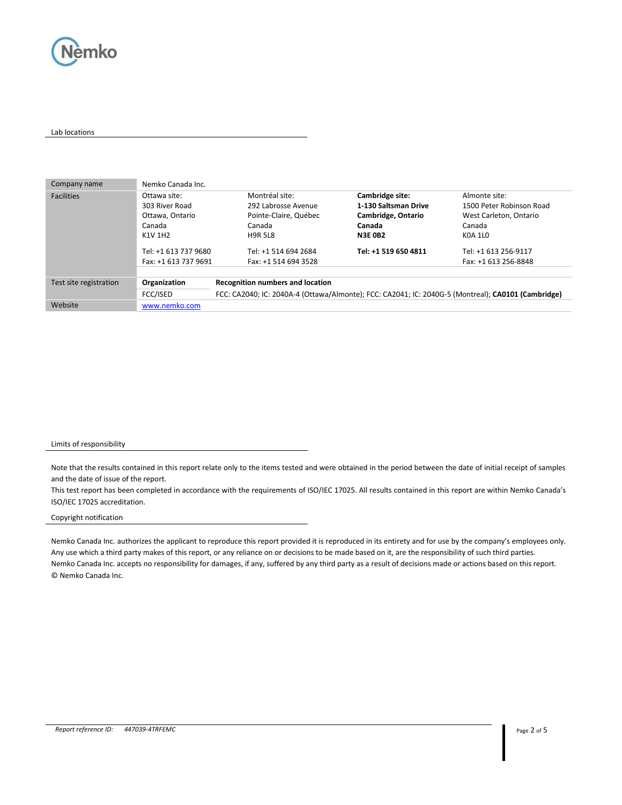

### Lab locations

| Company name           | Nemko Canada Inc.    |                                                                                                    |                      |                          |
|------------------------|----------------------|----------------------------------------------------------------------------------------------------|----------------------|--------------------------|
| <b>Facilities</b>      | Ottawa site:         | Montréal site:                                                                                     | Cambridge site:      | Almonte site:            |
|                        | 303 River Road       | 292 Labrosse Avenue                                                                                | 1-130 Saltsman Drive | 1500 Peter Robinson Road |
|                        | Ottawa, Ontario      | Pointe-Claire, Québec                                                                              | Cambridge, Ontario   | West Carleton, Ontario   |
|                        | Canada               | Canada                                                                                             | Canada               | Canada                   |
|                        | K1V 1H2              | <b>H9R 5L8</b>                                                                                     | <b>N3E 0B2</b>       | K0A 1L0                  |
|                        | Tel: +1 613 737 9680 | Tel: +1 514 694 2684                                                                               | Tel: +1 519 650 4811 | Tel: +1 613 256-9117     |
|                        | Fax: +1 613 737 9691 | Fax: +1 514 694 3528                                                                               |                      | Fax: +1 613 256-8848     |
|                        |                      |                                                                                                    |                      |                          |
| Test site registration | Organization         | <b>Recognition numbers and location</b>                                                            |                      |                          |
|                        | FCC/ISED             | FCC: CA2040; IC: 2040A-4 (Ottawa/Almonte); FCC: CA2041; IC: 2040G-5 (Montreal); CA0101 (Cambridge) |                      |                          |
| Website                | www.nemko.com        |                                                                                                    |                      |                          |

### Limits of responsibility

Note that the results contained in this report relate only to the items tested and were obtained in the period between the date of initial receipt of samples and the date of issue of the report.

This test report has been completed in accordance with the requirements of ISO/IEC 17025. All results contained in this report are within Nemko Canada's ISO/IEC 17025 accreditation.

### Copyright notification

Nemko Canada Inc. authorizes the applicant to reproduce this report provided it is reproduced in its entirety and for use by the company's employees only. Any use which a third party makes of this report, or any reliance on or decisions to be made based on it, are the responsibility of such third parties. Nemko Canada Inc. accepts no responsibility for damages, if any, suffered by any third party as a result of decisions made or actions based on this report. © Nemko Canada Inc.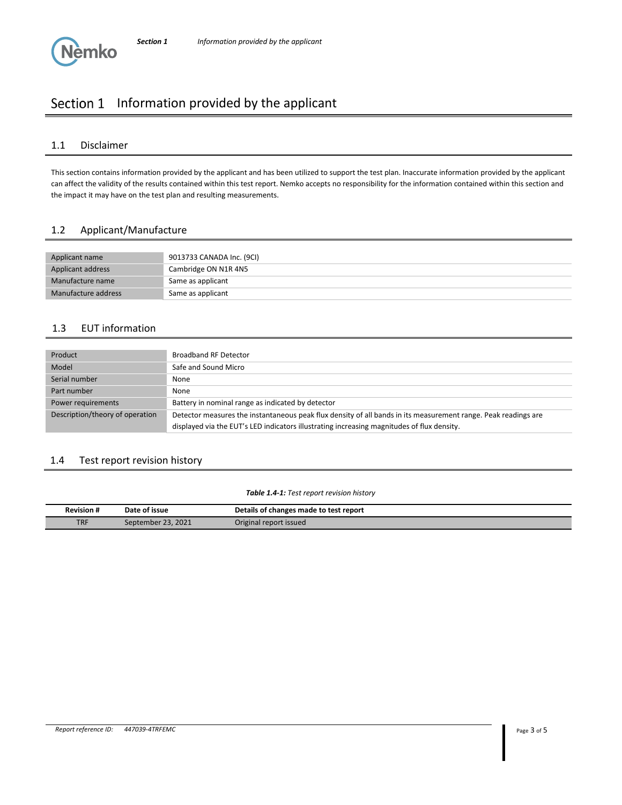# Section 1 Information provided by the applicant

## 1.1 Disclaimer

**Nemko** 

This section contains information provided by the applicant and has been utilized to support the test plan. Inaccurate information provided by the applicant can affect the validity of the results contained within this test report. Nemko accepts no responsibility for the information contained within this section and the impact it may have on the test plan and resulting measurements.

# 1.2 Applicant/Manufacture

| Applicant name      | 9013733 CANADA Inc. (9CI) |
|---------------------|---------------------------|
| Applicant address   | Cambridge ON N1R 4N5      |
| Manufacture name    | Same as applicant         |
| Manufacture address | Same as applicant         |

# 1.3 EUT information

| Product                         | <b>Broadband RF Detector</b>                                                                                                                                                                                 |
|---------------------------------|--------------------------------------------------------------------------------------------------------------------------------------------------------------------------------------------------------------|
| Model                           | Safe and Sound Micro                                                                                                                                                                                         |
| Serial number                   | None                                                                                                                                                                                                         |
| Part number                     | None                                                                                                                                                                                                         |
| Power requirements              | Battery in nominal range as indicated by detector                                                                                                                                                            |
| Description/theory of operation | Detector measures the instantaneous peak flux density of all bands in its measurement range. Peak readings are<br>displayed via the EUT's LED indicators illustrating increasing magnitudes of flux density. |

### 1.4 Test report revision history

### *Table 1.4-1: Test report revision history*

| <b>Revision#</b> | Date of issue      | Details of changes made to test report |
|------------------|--------------------|----------------------------------------|
| <b>TRF</b>       | September 23, 2021 | Original report issued                 |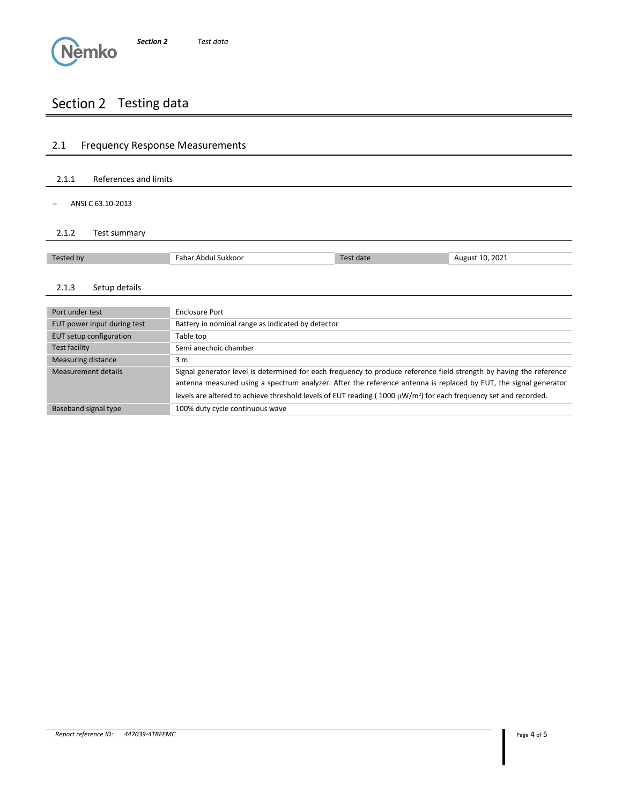# Section 2 Testing data

# 2.1 Frequency Response Measurements 2.1.1 References and limits − ANSI C 63.10-2013 2.1.2 Test summary Tested by **Fahar Abdul Sukkoor** Test date August 10, 2021 2.1.3 Setup details Port under test Enclosure Port EUT power input during test Battery in nominal range as indicated by detector EUT setup configuration Table top Test facility Semi anechoic chamber Measuring distance 3 m Measurement details Signal generator level is determined for each frequency to produce reference field strength by having the reference antenna measured using a spectrum analyzer. After the reference antenna is replaced by EUT, the signal generator levels are altered to achieve threshold levels of EUT reading ( $1000 \mu W/m^2$ ) for each frequency set and recorded. Baseband signal type 100% duty cycle continuous wave